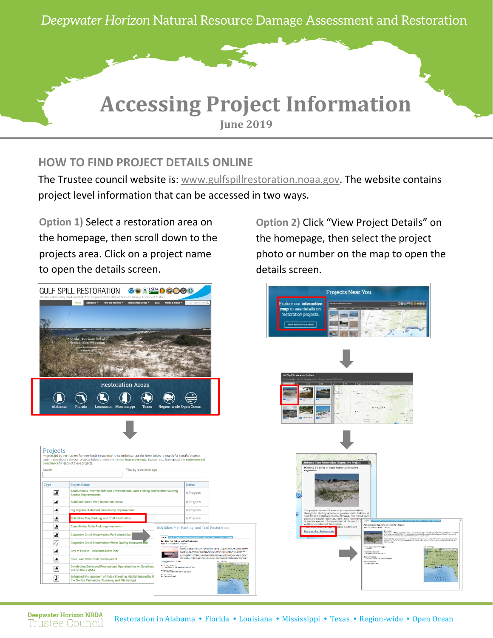

## **HOW TO FIND PROJECT DETAILS ONLINE**

The Trustee council website is: [www.gulfspillrestoration.noaa.gov.](http://www.gulfspillrestoration.noaa.gov/) The website contains project level information that can be accessed in two ways.

**Option 1)** Select a restoration area on the homepage, then scroll down to the projects area. Click on a project name to open the details screen.



**Option 2)** Click "View Project Details" on the homepage, then select the project photo or number on the map to open the details screen.